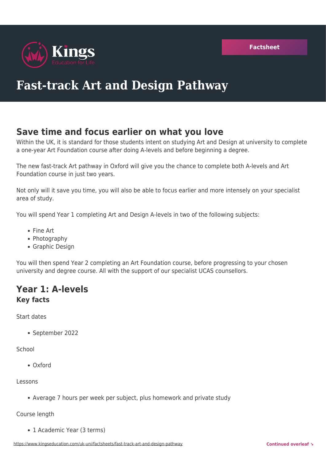

# **Fast-track Art and Design Pathway**

# **Save time and focus earlier on what you love**

Within the UK, it is standard for those students intent on studying Art and Design at university to complete a one-year Art Foundation course after doing A-levels and before beginning a degree.

The new fast-track Art pathway in Oxford will give you the chance to complete both A-levels and Art Foundation course in just two years.

Not only will it save you time, you will also be able to focus earlier and more intensely on your specialist area of study.

You will spend Year 1 completing Art and Design A-levels in two of the following subjects:

- Fine Art
- Photography
- Graphic Design

You will then spend Year 2 completing an Art Foundation course, before progressing to your chosen university and degree course. All with the support of our specialist UCAS counsellors.

## **Year 1: A-levels Key facts**

Start dates

September 2022

**School** 

Oxford

Lessons

Average 7 hours per week per subject, plus homework and private study

Course length

• 1 Academic Year (3 terms)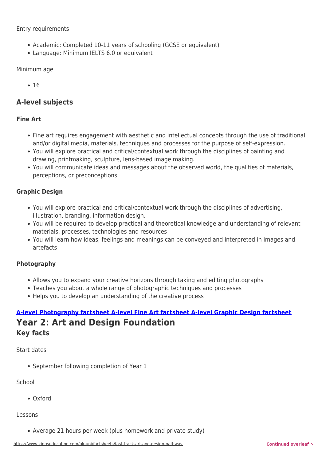#### Entry requirements

- Academic: Completed 10-11 years of schooling (GCSE or equivalent)
- Language: Minimum IELTS 6.0 or equivalent

#### Minimum age

 $• 16$ 

### **A-level subjects**

#### **Fine Art**

- Fine art requires engagement with aesthetic and intellectual concepts through the use of traditional and/or digital media, materials, techniques and processes for the purpose of self-expression.
- You will explore practical and critical/contextual work through the disciplines of painting and drawing, printmaking, sculpture, lens-based image making.
- You will communicate ideas and messages about the observed world, the qualities of materials, perceptions, or preconceptions.

#### **Graphic Design**

- You will explore practical and critical/contextual work through the disciplines of advertising, illustration, branding, information design.
- You will be required to develop practical and theoretical knowledge and understanding of relevant materials, processes, technologies and resources
- You will learn how ideas, feelings and meanings can be conveyed and interpreted in images and artefacts

#### **Photography**

- Allows you to expand your creative horizons through taking and editing photographs
- Teaches you about a whole range of photographic techniques and processes
- Helps you to develop an understanding of the creative process

### **[A-level Photography factsheet](https://www.kingseducation.com/uk-uni/factsheets/a-level-photography) [A-level Fine Art factsheet](https://www.kingseducation.com/uk-uni/factsheets/a-level-fine-art) [A-level Graphic Design factsheet](https://www.kingseducation.com/uk-uni/factsheets/a-level-graphic-design) Year 2: Art and Design Foundation Key facts**

#### Start dates

• September following completion of Year 1

#### School

Oxford

#### Lessons

Average 21 hours per week (plus homework and private study)